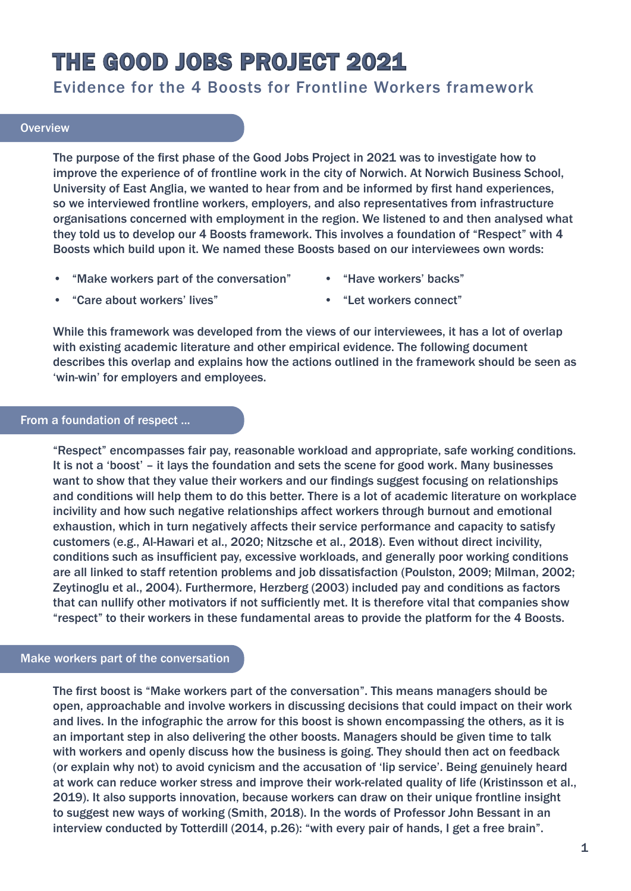# THE GOOD JOBS PROJECT 2021

# Evidence for the 4 Boosts for Frontline Workers framework

## **Overview**

The purpose of the first phase of the Good Jobs Project in 2021 was to investigate how to improve the experience of of frontline work in the city of Norwich. At Norwich Business School, University of East Anglia, we wanted to hear from and be informed by first hand experiences, so we interviewed frontline workers, employers, and also representatives from infrastructure organisations concerned with employment in the region. We listened to and then analysed what they told us to develop our 4 Boosts framework. This involves a foundation of "Respect" with 4 Boosts which build upon it. We named these Boosts based on our interviewees own words:

- "Make workers part of the conversation"
- "Have workers' backs"

• "Care about workers' lives"

• "Let workers connect"

While this framework was developed from the views of our interviewees, it has a lot of overlap with existing academic literature and other empirical evidence. The following document describes this overlap and explains how the actions outlined in the framework should be seen as 'win-win' for employers and employees.

# From a foundation of respect ...

"Respect" encompasses fair pay, reasonable workload and appropriate, safe working conditions. It is not a 'boost' – it lays the foundation and sets the scene for good work. Many businesses want to show that they value their workers and our findings suggest focusing on relationships and conditions will help them to do this better. There is a lot of academic literature on workplace incivility and how such negative relationships affect workers through burnout and emotional exhaustion, which in turn negatively affects their service performance and capacity to satisfy customers (e.g., Al-Hawari et al., 2020; Nitzsche et al., 2018). Even without direct incivility, conditions such as insufficient pay, excessive workloads, and generally poor working conditions are all linked to staff retention problems and job dissatisfaction (Poulston, 2009; Milman, 2002; Zeytinoglu et al., 2004). Furthermore, Herzberg (2003) included pay and conditions as factors that can nullify other motivators if not sufficiently met. It is therefore vital that companies show "respect" to their workers in these fundamental areas to provide the platform for the 4 Boosts.

# Make workers part of the conversation

The first boost is "Make workers part of the conversation". This means managers should be open, approachable and involve workers in discussing decisions that could impact on their work and lives. In the infographic the arrow for this boost is shown encompassing the others, as it is an important step in also delivering the other boosts. Managers should be given time to talk with workers and openly discuss how the business is going. They should then act on feedback (or explain why not) to avoid cynicism and the accusation of 'lip service'. Being genuinely heard at work can reduce worker stress and improve their work-related quality of life (Kristinsson et al., 2019). It also supports innovation, because workers can draw on their unique frontline insight to suggest new ways of working (Smith, 2018). In the words of Professor John Bessant in an interview conducted by Totterdill (2014, p.26): "with every pair of hands, I get a free brain".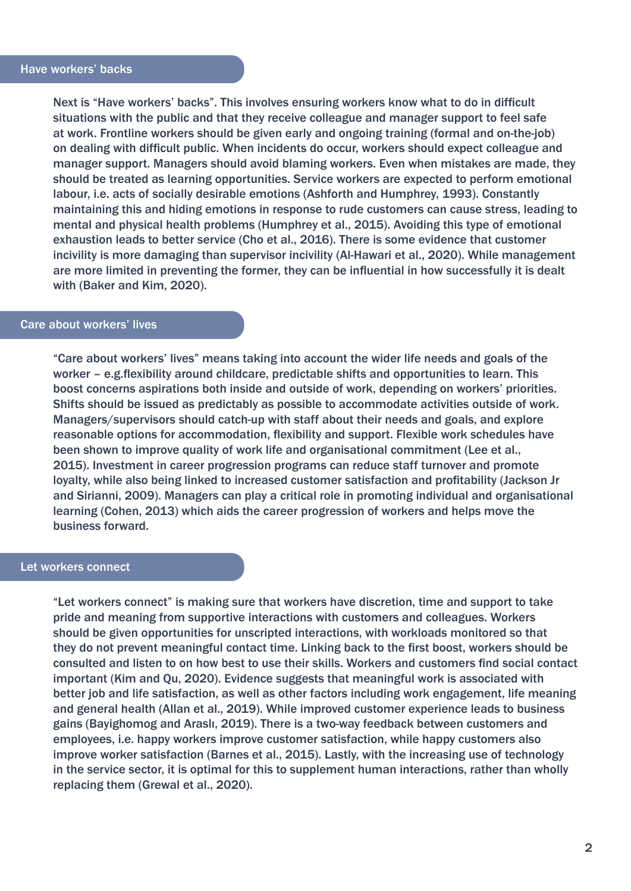Next is "Have workers' backs". This involves ensuring workers know what to do in difficult situations with the public and that they receive colleague and manager support to feel safe at work. Frontline workers should be given early and ongoing training (formal and on-the-job) on dealing with difficult public. When incidents do occur, workers should expect colleague and manager support. Managers should avoid blaming workers. Even when mistakes are made, they should be treated as learning opportunities. Service workers are expected to perform emotional labour, i.e. acts of socially desirable emotions (Ashforth and Humphrey, 1993). Constantly maintaining this and hiding emotions in response to rude customers can cause stress, leading to mental and physical health problems (Humphrey et al., 2015). Avoiding this type of emotional exhaustion leads to better service (Cho et al., 2016). There is some evidence that customer incivility is more damaging than supervisor incivility (Al-Hawari et al., 2020). While management are more limited in preventing the former, they can be influential in how successfully it is dealt with (Baker and Kim, 2020).

#### Care about workers' lives

"Care about workers' lives" means taking into account the wider life needs and goals of the worker – e.g.flexibility around childcare, predictable shifts and opportunities to learn. This boost concerns aspirations both inside and outside of work, depending on workers' priorities. Shifts should be issued as predictably as possible to accommodate activities outside of work. Managers/supervisors should catch-up with staff about their needs and goals, and explore reasonable options for accommodation, flexibility and support. Flexible work schedules have been shown to improve quality of work life and organisational commitment (Lee et al., 2015). Investment in career progression programs can reduce staff turnover and promote loyalty, while also being linked to increased customer satisfaction and profitability (Jackson Jr and Sirianni, 2009). Managers can play a critical role in promoting individual and organisational learning (Cohen, 2013) which aids the career progression of workers and helps move the business forward.

#### Let workers connect

"Let workers connect" is making sure that workers have discretion, time and support to take pride and meaning from supportive interactions with customers and colleagues. Workers should be given opportunities for unscripted interactions, with workloads monitored so that they do not prevent meaningful contact time. Linking back to the first boost, workers should be consulted and listen to on how best to use their skills. Workers and customers find social contact important (Kim and Qu, 2020). Evidence suggests that meaningful work is associated with better job and life satisfaction, as well as other factors including work engagement, life meaning and general health (Allan et al., 2019). While improved customer experience leads to business gains (Bayighomog and Araslı, 2019). There is a two-way feedback between customers and employees, i.e. happy workers improve customer satisfaction, while happy customers also improve worker satisfaction (Barnes et al., 2015). Lastly, with the increasing use of technology in the service sector, it is optimal for this to supplement human interactions, rather than wholly replacing them (Grewal et al., 2020).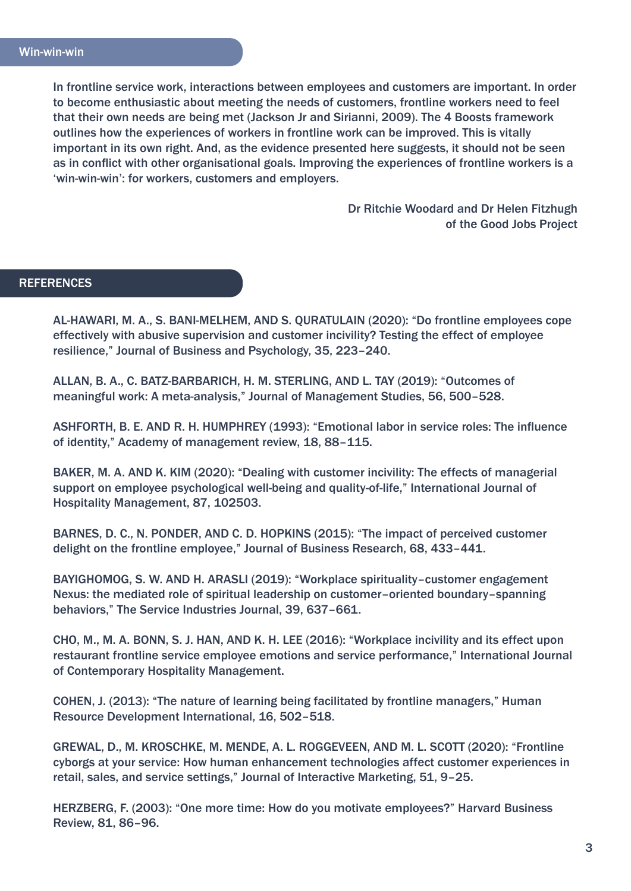In frontline service work, interactions between employees and customers are important. In order to become enthusiastic about meeting the needs of customers, frontline workers need to feel that their own needs are being met (Jackson Jr and Sirianni, 2009). The 4 Boosts framework outlines how the experiences of workers in frontline work can be improved. This is vitally important in its own right. And, as the evidence presented here suggests, it should not be seen as in conflict with other organisational goals. Improving the experiences of frontline workers is a 'win-win-win': for workers, customers and employers.

> Dr Ritchie Woodard and Dr Helen Fitzhugh of the Good Jobs Project

### **REFERENCES**

AL-HAWARI, M. A., S. BANI-MELHEM, AND S. QURATULAIN (2020): "Do frontline employees cope effectively with abusive supervision and customer incivility? Testing the effect of employee resilience," Journal of Business and Psychology, 35, 223–240.

ALLAN, B. A., C. BATZ-BARBARICH, H. M. STERLING, AND L. TAY (2019): "Outcomes of meaningful work: A meta-analysis," Journal of Management Studies, 56, 500–528.

ASHFORTH, B. E. AND R. H. HUMPHREY (1993): "Emotional labor in service roles: The influence of identity," Academy of management review, 18, 88–115.

BAKER, M. A. AND K. KIM (2020): "Dealing with customer incivility: The effects of managerial support on employee psychological well-being and quality-of-life," International Journal of Hospitality Management, 87, 102503.

BARNES, D. C., N. PONDER, AND C. D. HOPKINS (2015): "The impact of perceived customer delight on the frontline employee," Journal of Business Research, 68, 433–441.

BAYIGHOMOG, S. W. AND H. ARASLI (2019): "Workplace spirituality–customer engagement Nexus: the mediated role of spiritual leadership on customer–oriented boundary–spanning behaviors," The Service Industries Journal, 39, 637–661.

CHO, M., M. A. BONN, S. J. HAN, AND K. H. LEE (2016): "Workplace incivility and its effect upon restaurant frontline service employee emotions and service performance," International Journal of Contemporary Hospitality Management.

COHEN, J. (2013): "The nature of learning being facilitated by frontline managers," Human Resource Development International, 16, 502–518.

GREWAL, D., M. KROSCHKE, M. MENDE, A. L. ROGGEVEEN, AND M. L. SCOTT (2020): "Frontline cyborgs at your service: How human enhancement technologies affect customer experiences in retail, sales, and service settings," Journal of Interactive Marketing, 51, 9–25.

HERZBERG, F. (2003): "One more time: How do you motivate employees?" Harvard Business Review, 81, 86–96.